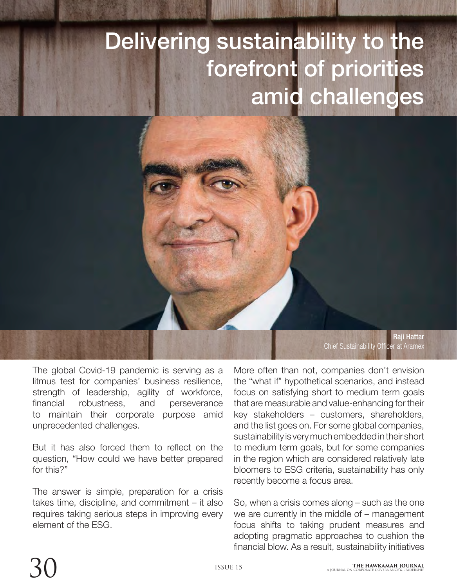## Delivering sustainability to the forefront of priorities amid challenges

Raji Hattar Chief Sustainability Officer at Aramex

The global Covid-19 pandemic is serving as a litmus test for companies' business resilience, strength of leadership, agility of workforce, financial robustness, and perseverance to maintain their corporate purpose amid unprecedented challenges.

But it has also forced them to reflect on the question, "How could we have better prepared for this?"

The answer is simple, preparation for a crisis takes time, discipline, and commitment – it also requires taking serious steps in improving every element of the ESG.

More often than not, companies don't envision the "what if" hypothetical scenarios, and instead focus on satisfying short to medium term goals that are measurable and value-enhancing for their key stakeholders – customers, shareholders, and the list goes on. For some global companies, sustainability is very much embedded in their short to medium term goals, but for some companies in the region which are considered relatively late bloomers to ESG criteria, sustainability has only recently become a focus area.

So, when a crisis comes along – such as the one we are currently in the middle of – management focus shifts to taking prudent measures and adopting pragmatic approaches to cushion the financial blow. As a result, sustainability initiatives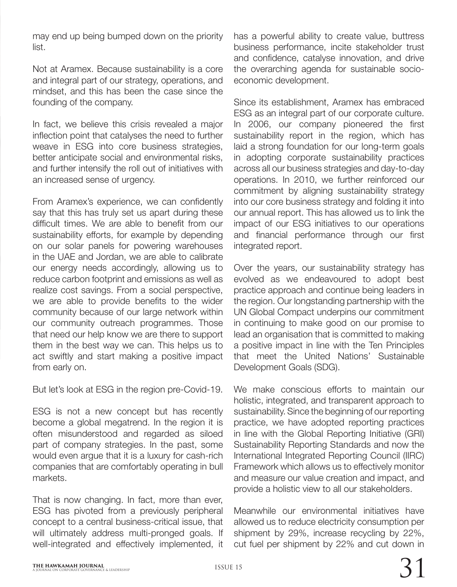may end up being bumped down on the priority list.

Not at Aramex. Because sustainability is a core and integral part of our strategy, operations, and mindset, and this has been the case since the founding of the company.

In fact, we believe this crisis revealed a major inflection point that catalyses the need to further weave in ESG into core business strategies, better anticipate social and environmental risks, and further intensify the roll out of initiatives with an increased sense of urgency.

From Aramex's experience, we can confidently say that this has truly set us apart during these difficult times. We are able to benefit from our sustainability efforts, for example by depending on our solar panels for powering warehouses in the UAE and Jordan, we are able to calibrate our energy needs accordingly, allowing us to reduce carbon footprint and emissions as well as realize cost savings. From a social perspective, we are able to provide benefits to the wider community because of our large network within our community outreach programmes. Those that need our help know we are there to support them in the best way we can. This helps us to act swiftly and start making a positive impact from early on.

But let's look at ESG in the region pre-Covid-19.

ESG is not a new concept but has recently become a global megatrend. In the region it is often misunderstood and regarded as siloed part of company strategies. In the past, some would even argue that it is a luxury for cash-rich companies that are comfortably operating in bull markets.

That is now changing. In fact, more than ever, ESG has pivoted from a previously peripheral concept to a central business-critical issue, that will ultimately address multi-pronged goals. If well-integrated and effectively implemented, it

has a powerful ability to create value, buttress business performance, incite stakeholder trust and confidence, catalyse innovation, and drive the overarching agenda for sustainable socioeconomic development.

Since its establishment, Aramex has embraced ESG as an integral part of our corporate culture. In 2006, our company pioneered the first sustainability report in the region, which has laid a strong foundation for our long-term goals in adopting corporate sustainability practices across all our business strategies and day-to-day operations. In 2010, we further reinforced our commitment by aligning sustainability strategy into our core business strategy and folding it into our annual report. This has allowed us to link the impact of our ESG initiatives to our operations and financial performance through our first integrated report.

Over the years, our sustainability strategy has evolved as we endeavoured to adopt best practice approach and continue being leaders in the region. Our longstanding partnership with the UN Global Compact underpins our commitment in continuing to make good on our promise to lead an organisation that is committed to making a positive impact in line with the Ten Principles that meet the United Nations' Sustainable Development Goals (SDG).

We make conscious efforts to maintain our holistic, integrated, and transparent approach to sustainability. Since the beginning of our reporting practice, we have adopted reporting practices in line with the Global Reporting Initiative (GRI) Sustainability Reporting Standards and now the International Integrated Reporting Council (IIRC) Framework which allows us to effectively monitor and measure our value creation and impact, and provide a holistic view to all our stakeholders.

Meanwhile our environmental initiatives have allowed us to reduce electricity consumption per shipment by 29%, increase recycling by 22%, cut fuel per shipment by 22% and cut down in